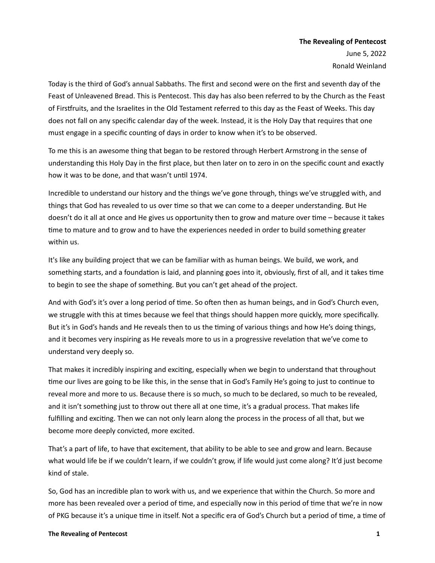Today is the third of God's annual Sabbaths. The first and second were on the first and seventh day of the Feast of Unleavened Bread. This is Pentecost. This day has also been referred to by the Church as the Feast of Firstfruits, and the Israelites in the Old Testament referred to this day as the Feast of Weeks. This day does not fall on any specific calendar day of the week. Instead, it is the Holy Day that requires that one must engage in a specific counting of days in order to know when it's to be observed.

To me this is an awesome thing that began to be restored through Herbert Armstrong in the sense of understanding this Holy Day in the first place, but then later on to zero in on the specific count and exactly how it was to be done, and that wasn't until 1974.

Incredible to understand our history and the things we've gone through, things we've struggled with, and things that God has revealed to us over time so that we can come to a deeper understanding. But He doesn't do it all at once and He gives us opportunity then to grow and mature over time – because it takes time to mature and to grow and to have the experiences needed in order to build something greater within us.

It's like any building project that we can be familiar with as human beings. We build, we work, and something starts, and a foundation is laid, and planning goes into it, obviously, first of all, and it takes time to begin to see the shape of something. But you can't get ahead of the project.

And with God's it's over a long period of time. So often then as human beings, and in God's Church even, we struggle with this at times because we feel that things should happen more quickly, more specifically. But it's in God's hands and He reveals then to us the timing of various things and how He's doing things, and it becomes very inspiring as He reveals more to us in a progressive revelation that we've come to understand very deeply so.

That makes it incredibly inspiring and exciting, especially when we begin to understand that throughout time our lives are going to be like this, in the sense that in God's Family He's going to just to continue to reveal more and more to us. Because there is so much, so much to be declared, so much to be revealed, and it isn't something just to throw out there all at one time, it's a gradual process. That makes life fulfilling and exciting. Then we can not only learn along the process in the process of all that, but we become more deeply convicted, more excited.

That's a part of life, to have that excitement, that ability to be able to see and grow and learn. Because what would life be if we couldn't learn, if we couldn't grow, if life would just come along? It'd just become kind of stale.

So, God has an incredible plan to work with us, and we experience that within the Church. So more and more has been revealed over a period of time, and especially now in this period of time that we're in now of PKG because it's a unique time in itself. Not a specific era of God's Church but a period of time, a time of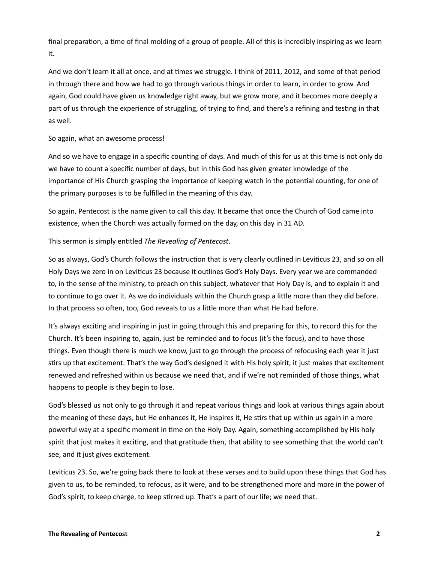final preparation, a time of final molding of a group of people. All of this is incredibly inspiring as we learn it.

And we don't learn it all at once, and at times we struggle. I think of 2011, 2012, and some of that period in through there and how we had to go through various things in order to learn, in order to grow. And again, God could have given us knowledge right away, but we grow more, and it becomes more deeply a part of us through the experience of struggling, of trying to find, and there's a refining and testing in that as well.

### So again, what an awesome process!

And so we have to engage in a specific counting of days. And much of this for us at this time is not only do we have to count a specific number of days, but in this God has given greater knowledge of the importance of His Church grasping the importance of keeping watch in the potential counting, for one of the primary purposes is to be fulfilled in the meaning of this day.

So again, Pentecost is the name given to call this day. It became that once the Church of God came into existence, when the Church was actually formed on the day, on this day in 31 AD.

## This sermon is simply entitled *The Revealing of Pentecost*.

So as always, God's Church follows the instruction that is very clearly outlined in Leviticus 23, and so on all Holy Days we zero in on Leviticus 23 because it outlines God's Holy Days. Every year we are commanded to, in the sense of the ministry, to preach on this subject, whatever that Holy Day is, and to explain it and to continue to go over it. As we do individuals within the Church grasp a little more than they did before. In that process so often, too, God reveals to us a little more than what He had before.

It's always exciting and inspiring in just in going through this and preparing for this, to record this for the Church. It's been inspiring to, again, just be reminded and to focus (it's the focus), and to have those things. Even though there is much we know, just to go through the process of refocusing each year it just stirs up that excitement. That's the way God's designed it with His holy spirit, it just makes that excitement renewed and refreshed within us because we need that, and if we're not reminded of those things, what happens to people is they begin to lose.

God's blessed us not only to go through it and repeat various things and look at various things again about the meaning of these days, but He enhances it, He inspires it, He stirs that up within us again in a more powerful way at a specific moment in time on the Holy Day. Again, something accomplished by His holy spirit that just makes it exciting, and that gratitude then, that ability to see something that the world can't see, and it just gives excitement.

Leviticus 23. So, we're going back there to look at these verses and to build upon these things that God has given to us, to be reminded, to refocus, as it were, and to be strengthened more and more in the power of God's spirit, to keep charge, to keep stirred up. That's a part of our life; we need that.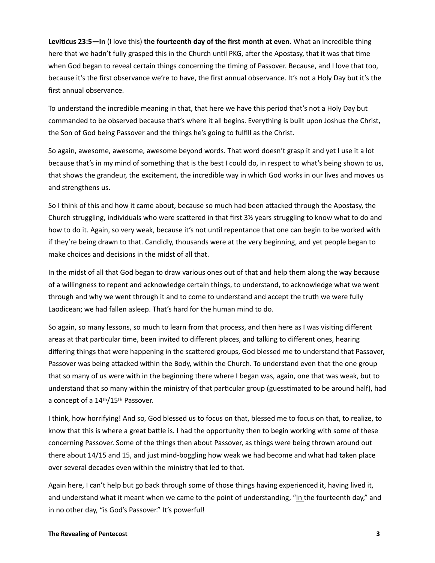**Leviticus 23:5—In** (I love this) **the fourteenth day of the first month at even.** What an incredible thing here that we hadn't fully grasped this in the Church until PKG, after the Apostasy, that it was that time when God began to reveal certain things concerning the timing of Passover. Because, and I love that too, because it's the first observance we're to have, the first annual observance. It's not a Holy Day but it's the first annual observance.

To understand the incredible meaning in that, that here we have this period that's not a Holy Day but commanded to be observed because that's where it all begins. Everything is built upon Joshua the Christ, the Son of God being Passover and the things he's going to fulfill as the Christ.

So again, awesome, awesome, awesome beyond words. That word doesn't grasp it and yet I use it a lot because that's in my mind of something that is the best I could do, in respect to what's being shown to us, that shows the grandeur, the excitement, the incredible way in which God works in our lives and moves us and strengthens us.

So I think of this and how it came about, because so much had been attacked through the Apostasy, the Church struggling, individuals who were scattered in that first 3½ years struggling to know what to do and how to do it. Again, so very weak, because it's not until repentance that one can begin to be worked with if they're being drawn to that. Candidly, thousands were at the very beginning, and yet people began to make choices and decisions in the midst of all that.

In the midst of all that God began to draw various ones out of that and help them along the way because of a willingness to repent and acknowledge certain things, to understand, to acknowledge what we went through and why we went through it and to come to understand and accept the truth we were fully Laodicean; we had fallen asleep. That's hard for the human mind to do.

So again, so many lessons, so much to learn from that process, and then here as I was visiting different areas at that particular time, been invited to different places, and talking to different ones, hearing differing things that were happening in the scattered groups, God blessed me to understand that Passover, Passover was being attacked within the Body, within the Church. To understand even that the one group that so many of us were with in the beginning there where I began was, again, one that was weak, but to understand that so many within the ministry of that particular group (guesstimated to be around half), had a concept of a 14th/15th Passover.

I think, how horrifying! And so, God blessed us to focus on that, blessed me to focus on that, to realize, to know that this is where a great battle is. I had the opportunity then to begin working with some of these concerning Passover. Some of the things then about Passover, as things were being thrown around out there about 14/15 and 15, and just mind-boggling how weak we had become and what had taken place over several decades even within the ministry that led to that.

Again here, I can't help but go back through some of those things having experienced it, having lived it, and understand what it meant when we came to the point of understanding, "In the fourteenth day," and in no other day, "is God's Passover." It's powerful!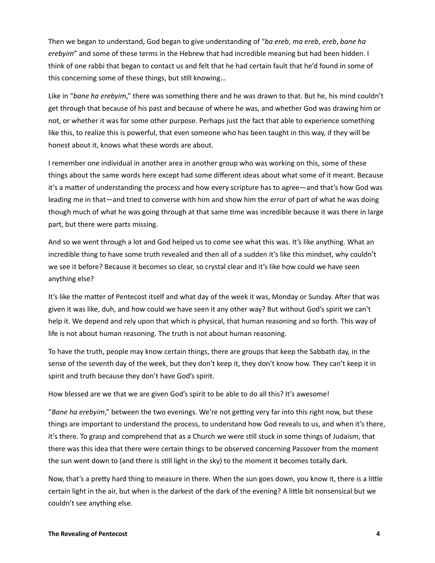Then we began to understand, God began to give understanding of "*ba ereb*, *ma ereb*, *ereb*, *bane ha erebyim*" and some of these terms in the Hebrew that had incredible meaning but had been hidden. I think of one rabbi that began to contact us and felt that he had certain fault that he'd found in some of this concerning some of these things, but still knowing…

Like in "*bane ha erebyim*," there was something there and he was drawn to that. But he, his mind couldn't get through that because of his past and because of where he was, and whether God was drawing him or not, or whether it was for some other purpose. Perhaps just the fact that able to experience something like this, to realize this is powerful, that even someone who has been taught in this way, if they will be honest about it, knows what these words are about.

I remember one individual in another area in another group who was working on this, some of these things about the same words here except had some different ideas about what some of it meant. Because it's a matter of understanding the process and how every scripture has to agree—and that's how God was leading me in that—and tried to converse with him and show him the error of part of what he was doing though much of what he was going through at that same time was incredible because it was there in large part, but there were parts missing.

And so we went through a lot and God helped us to come see what this was. It's like anything. What an incredible thing to have some truth revealed and then all of a sudden it's like this mindset, why couldn't we see it before? Because it becomes so clear, so crystal clear and it's like how could we have seen anything else?

It's like the matter of Pentecost itself and what day of the week it was, Monday or Sunday. After that was given it was like, duh, and how could we have seen it any other way? But without God's spirit we can't help it. We depend and rely upon that which is physical, that human reasoning and so forth. This way of life is not about human reasoning. The truth is not about human reasoning.

To have the truth, people may know certain things, there are groups that keep the Sabbath day, in the sense of the seventh day of the week, but they don't keep it, they don't know how. They can't keep it in spirit and truth because they don't have God's spirit.

How blessed are we that we are given God's spirit to be able to do all this? It's awesome!

"*Bane ha erebyim*," between the two evenings. We're not getting very far into this right now, but these things are important to understand the process, to understand how God reveals to us, and when it's there, it's there. To grasp and comprehend that as a Church we were still stuck in some things of Judaism, that there was this idea that there were certain things to be observed concerning Passover from the moment the sun went down to (and there is still light in the sky) to the moment it becomes totally dark.

Now, that's a pretty hard thing to measure in there. When the sun goes down, you know it, there is a little certain light in the air, but when is the darkest of the dark of the evening? A little bit nonsensical but we couldn't see anything else.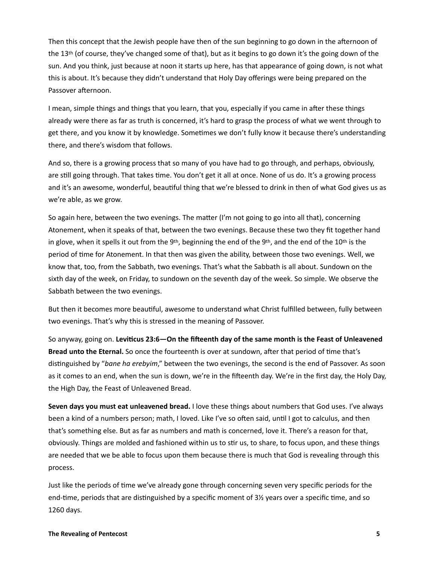Then this concept that the Jewish people have then of the sun beginning to go down in the afternoon of the 13th (of course, they've changed some of that), but as it begins to go down it's the going down of the sun. And you think, just because at noon it starts up here, has that appearance of going down, is not what this is about. It's because they didn't understand that Holy Day offerings were being prepared on the Passover afternoon.

I mean, simple things and things that you learn, that you, especially if you came in after these things already were there as far as truth is concerned, it's hard to grasp the process of what we went through to get there, and you know it by knowledge. Sometimes we don't fully know it because there's understanding there, and there's wisdom that follows.

And so, there is a growing process that so many of you have had to go through, and perhaps, obviously, are still going through. That takes time. You don't get it all at once. None of us do. It's a growing process and it's an awesome, wonderful, beautiful thing that we're blessed to drink in then of what God gives us as we're able, as we grow.

So again here, between the two evenings. The matter (I'm not going to go into all that), concerning Atonement, when it speaks of that, between the two evenings. Because these two they fit together hand in glove, when it spells it out from the 9<sup>th</sup>, beginning the end of the 9<sup>th</sup>, and the end of the 10<sup>th</sup> is the period of time for Atonement. In that then was given the ability, between those two evenings. Well, we know that, too, from the Sabbath, two evenings. That's what the Sabbath is all about. Sundown on the sixth day of the week, on Friday, to sundown on the seventh day of the week. So simple. We observe the Sabbath between the two evenings.

But then it becomes more beautiful, awesome to understand what Christ fulfilled between, fully between two evenings. That's why this is stressed in the meaning of Passover.

So anyway, going on. **Leviticus 23:6—On the fifteenth day of the same month is the Feast of Unleavened Bread unto the Eternal.** So once the fourteenth is over at sundown, after that period of time that's distinguished by "*bane ha erebyim*," between the two evenings, the second is the end of Passover. As soon as it comes to an end, when the sun is down, we're in the fifteenth day. We're in the first day, the Holy Day, the High Day, the Feast of Unleavened Bread.

**Seven days you must eat unleavened bread.** I love these things about numbers that God uses. I've always been a kind of a numbers person; math, I loved. Like I've so often said, until I got to calculus, and then that's something else. But as far as numbers and math is concerned, love it. There's a reason for that, obviously. Things are molded and fashioned within us to stir us, to share, to focus upon, and these things are needed that we be able to focus upon them because there is much that God is revealing through this process.

Just like the periods of time we've already gone through concerning seven very specific periods for the end-time, periods that are distinguished by a specific moment of 3½ years over a specific time, and so 1260 days.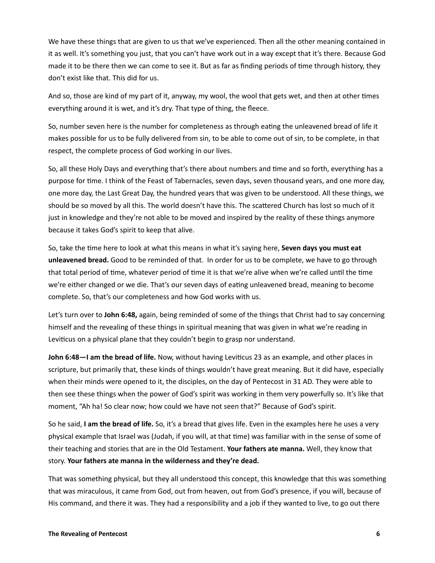We have these things that are given to us that we've experienced. Then all the other meaning contained in it as well. It's something you just, that you can't have work out in a way except that it's there. Because God made it to be there then we can come to see it. But as far as finding periods of time through history, they don't exist like that. This did for us.

And so, those are kind of my part of it, anyway, my wool, the wool that gets wet, and then at other times everything around it is wet, and it's dry. That type of thing, the fleece.

So, number seven here is the number for completeness as through eating the unleavened bread of life it makes possible for us to be fully delivered from sin, to be able to come out of sin, to be complete, in that respect, the complete process of God working in our lives.

So, all these Holy Days and everything that's there about numbers and time and so forth, everything has a purpose for time. I think of the Feast of Tabernacles, seven days, seven thousand years, and one more day, one more day, the Last Great Day, the hundred years that was given to be understood. All these things, we should be so moved by all this. The world doesn't have this. The scattered Church has lost so much of it just in knowledge and they're not able to be moved and inspired by the reality of these things anymore because it takes God's spirit to keep that alive.

So, take the time here to look at what this means in what it's saying here, **Seven days you must eat unleavened bread.** Good to be reminded of that. In order for us to be complete, we have to go through that total period of time, whatever period of time it is that we're alive when we're called until the time we're either changed or we die. That's our seven days of eating unleavened bread, meaning to become complete. So, that's our completeness and how God works with us.

Let's turn over to **John 6:48,** again, being reminded of some of the things that Christ had to say concerning himself and the revealing of these things in spiritual meaning that was given in what we're reading in Leviticus on a physical plane that they couldn't begin to grasp nor understand.

**John 6:48—I am the bread of life.** Now, without having Leviticus 23 as an example, and other places in scripture, but primarily that, these kinds of things wouldn't have great meaning. But it did have, especially when their minds were opened to it, the disciples, on the day of Pentecost in 31 AD. They were able to then see these things when the power of God's spirit was working in them very powerfully so. It's like that moment, "Ah ha! So clear now; how could we have not seen that?" Because of God's spirit.

So he said, **I am the bread of life.** So, it's a bread that gives life. Even in the examples here he uses a very physical example that Israel was (Judah, if you will, at that time) was familiar with in the sense of some of their teaching and stories that are in the Old Testament. **Your fathers ate manna.** Well, they know that story. **Your fathers ate manna in the wilderness and they're dead.**

That was something physical, but they all understood this concept, this knowledge that this was something that was miraculous, it came from God, out from heaven, out from God's presence, if you will, because of His command, and there it was. They had a responsibility and a job if they wanted to live, to go out there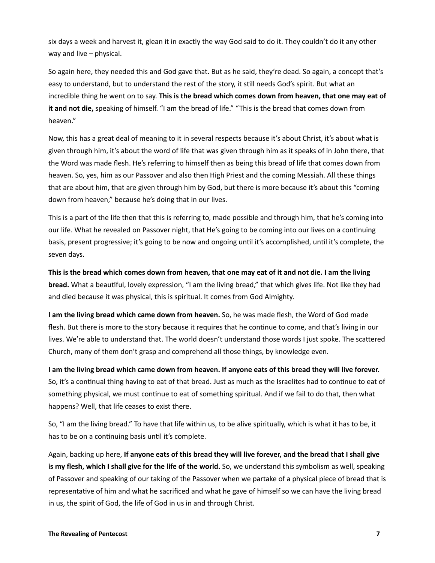six days a week and harvest it, glean it in exactly the way God said to do it. They couldn't do it any other way and live – physical.

So again here, they needed this and God gave that. But as he said, they're dead. So again, a concept that's easy to understand, but to understand the rest of the story, it still needs God's spirit. But what an incredible thing he went on to say. **This is the bread which comes down from heaven, that one may eat of it and not die,** speaking of himself. "I am the bread of life." "This is the bread that comes down from heaven."

Now, this has a great deal of meaning to it in several respects because it's about Christ, it's about what is given through him, it's about the word of life that was given through him as it speaks of in John there, that the Word was made flesh. He's referring to himself then as being this bread of life that comes down from heaven. So, yes, him as our Passover and also then High Priest and the coming Messiah. All these things that are about him, that are given through him by God, but there is more because it's about this "coming down from heaven," because he's doing that in our lives.

This is a part of the life then that this is referring to, made possible and through him, that he's coming into our life. What he revealed on Passover night, that He's going to be coming into our lives on a continuing basis, present progressive; it's going to be now and ongoing until it's accomplished, until it's complete, the seven days.

**This is the bread which comes down from heaven, that one may eat of it and not die. I am the living bread.** What a beautiful, lovely expression, "I am the living bread," that which gives life. Not like they had and died because it was physical, this is spiritual. It comes from God Almighty.

**I am the living bread which came down from heaven.** So, he was made flesh, the Word of God made flesh. But there is more to the story because it requires that he continue to come, and that's living in our lives. We're able to understand that. The world doesn't understand those words I just spoke. The scattered Church, many of them don't grasp and comprehend all those things, by knowledge even.

**I am the living bread which came down from heaven. If anyone eats of this bread they will live forever.** So, it's a continual thing having to eat of that bread. Just as much as the Israelites had to continue to eat of something physical, we must continue to eat of something spiritual. And if we fail to do that, then what happens? Well, that life ceases to exist there.

So, "I am the living bread." To have that life within us, to be alive spiritually, which is what it has to be, it has to be on a continuing basis until it's complete.

Again, backing up here, **If anyone eats of this bread they will live forever, and the bread that I shall give is my flesh, which I shall give for the life of the world.** So, we understand this symbolism as well, speaking of Passover and speaking of our taking of the Passover when we partake of a physical piece of bread that is representative of him and what he sacrificed and what he gave of himself so we can have the living bread in us, the spirit of God, the life of God in us in and through Christ.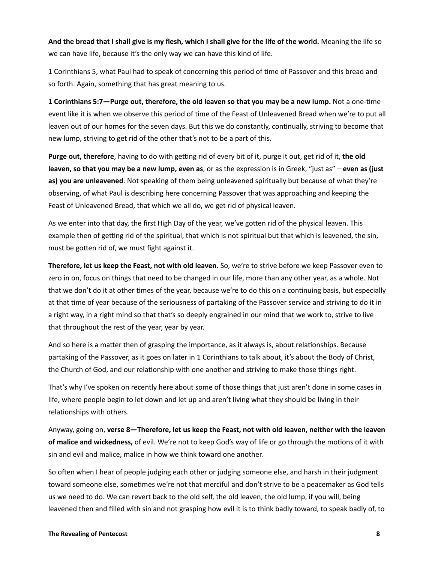**And the bread that I shall give is my flesh, which I shall give for the life of the world.** Meaning the life so we can have life, because it's the only way we can have this kind of life.

1 Corinthians 5, what Paul had to speak of concerning this period of time of Passover and this bread and so forth. Again, something that has great meaning to us.

**1 Corinthians 5:7—Purge out, therefore, the old leaven so that you may be a new lump.** Not a one-time event like it is when we observe this period of time of the Feast of Unleavened Bread when we're to put all leaven out of our homes for the seven days. But this we do constantly, continually, striving to become that new lump, striving to get rid of the other that's not to be a part of this.

**Purge out, therefore**, having to do with getting rid of every bit of it, purge it out, get rid of it, **the old leaven, so that you may be a new lump, even as**, or as the expression is in Greek, "just as" – **even as (just as) you are unleavened**. Not speaking of them being unleavened spiritually but because of what they're observing, of what Paul is describing here concerning Passover that was approaching and keeping the Feast of Unleavened Bread, that which we all do, we get rid of physical leaven.

As we enter into that day, the first High Day of the year, we've gotten rid of the physical leaven. This example then of getting rid of the spiritual, that which is not spiritual but that which is leavened, the sin, must be gotten rid of, we must fight against it.

**Therefore, let us keep the Feast, not with old leaven.** So, we're to strive before we keep Passover even to zero in on, focus on things that need to be changed in our life, more than any other year, as a whole. Not that we don't do it at other times of the year, because we're to do this on a continuing basis, but especially at that time of year because of the seriousness of partaking of the Passover service and striving to do it in a right way, in a right mind so that that's so deeply engrained in our mind that we work to, strive to live that throughout the rest of the year, year by year.

And so here is a matter then of grasping the importance, as it always is, about relationships. Because partaking of the Passover, as it goes on later in 1 Corinthians to talk about, it's about the Body of Christ, the Church of God, and our relationship with one another and striving to make those things right.

That's why I've spoken on recently here about some of those things that just aren't done in some cases in life, where people begin to let down and let up and aren't living what they should be living in their relationships with others.

Anyway, going on, **verse 8—Therefore, let us keep the Feast, not with old leaven, neither with the leaven of malice and wickedness,** of evil. We're not to keep God's way of life or go through the motions of it with sin and evil and malice, malice in how we think toward one another.

So often when I hear of people judging each other or judging someone else, and harsh in their judgment toward someone else, sometimes we're not that merciful and don't strive to be a peacemaker as God tells us we need to do. We can revert back to the old self, the old leaven, the old lump, if you will, being leavened then and filled with sin and not grasping how evil it is to think badly toward, to speak badly of, to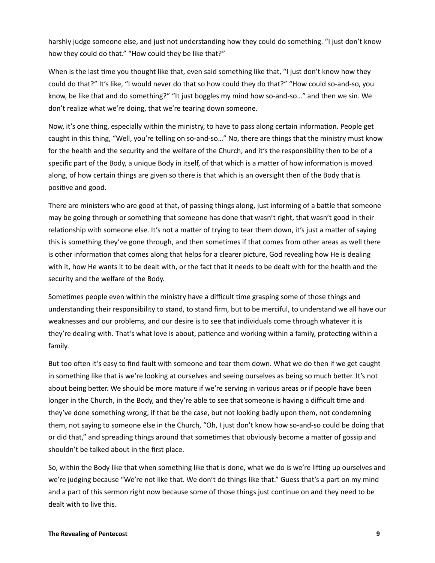harshly judge someone else, and just not understanding how they could do something. "I just don't know how they could do that." "How could they be like that?"

When is the last time you thought like that, even said something like that, "I just don't know how they could do that?" It's like, "I would never do that so how could they do that?" "How could so-and-so, you know, be like that and do something?" "It just boggles my mind how so-and-so…" and then we sin. We don't realize what we're doing, that we're tearing down someone.

Now, it's one thing, especially within the ministry, to have to pass along certain information. People get caught in this thing, "Well, you're telling on so-and-so…" No, there are things that the ministry must know for the health and the security and the welfare of the Church, and it's the responsibility then to be of a specific part of the Body, a unique Body in itself, of that which is a matter of how information is moved along, of how certain things are given so there is that which is an oversight then of the Body that is positive and good.

There are ministers who are good at that, of passing things along, just informing of a battle that someone may be going through or something that someone has done that wasn't right, that wasn't good in their relationship with someone else. It's not a matter of trying to tear them down, it's just a matter of saying this is something they've gone through, and then sometimes if that comes from other areas as well there is other information that comes along that helps for a clearer picture, God revealing how He is dealing with it, how He wants it to be dealt with, or the fact that it needs to be dealt with for the health and the security and the welfare of the Body.

Sometimes people even within the ministry have a difficult time grasping some of those things and understanding their responsibility to stand, to stand firm, but to be merciful, to understand we all have our weaknesses and our problems, and our desire is to see that individuals come through whatever it is they're dealing with. That's what love is about, patience and working within a family, protecting within a family.

But too often it's easy to find fault with someone and tear them down. What we do then if we get caught in something like that is we're looking at ourselves and seeing ourselves as being so much better. It's not about being better. We should be more mature if we're serving in various areas or if people have been longer in the Church, in the Body, and they're able to see that someone is having a difficult time and they've done something wrong, if that be the case, but not looking badly upon them, not condemning them, not saying to someone else in the Church, "Oh, I just don't know how so-and-so could be doing that or did that," and spreading things around that sometimes that obviously become a matter of gossip and shouldn't be talked about in the first place.

So, within the Body like that when something like that is done, what we do is we're lifting up ourselves and we're judging because "We're not like that. We don't do things like that." Guess that's a part on my mind and a part of this sermon right now because some of those things just continue on and they need to be dealt with to live this.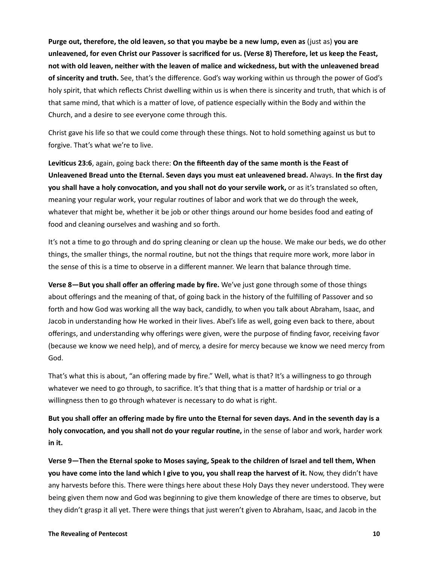**Purge out, therefore, the old leaven, so that you maybe be a new lump, even as** (just as) **you are unleavened, for even Christ our Passover is sacrificed for us. (Verse 8) Therefore, let us keep the Feast, not with old leaven, neither with the leaven of malice and wickedness, but with the unleavened bread of sincerity and truth.** See, that's the difference. God's way working within us through the power of God's holy spirit, that which reflects Christ dwelling within us is when there is sincerity and truth, that which is of that same mind, that which is a matter of love, of patience especially within the Body and within the Church, and a desire to see everyone come through this.

Christ gave his life so that we could come through these things. Not to hold something against us but to forgive. That's what we're to live.

**Leviticus 23:6**, again, going back there: **On the fifteenth day of the same month is the Feast of Unleavened Bread unto the Eternal. Seven days you must eat unleavened bread.** Always. **In the first day you shall have a holy convocation, and you shall not do your servile work,** or as it's translated so often, meaning your regular work, your regular routines of labor and work that we do through the week, whatever that might be, whether it be job or other things around our home besides food and eating of food and cleaning ourselves and washing and so forth.

It's not a time to go through and do spring cleaning or clean up the house. We make our beds, we do other things, the smaller things, the normal routine, but not the things that require more work, more labor in the sense of this is a time to observe in a different manner. We learn that balance through time.

**Verse 8—But you shall offer an offering made by fire.** We've just gone through some of those things about offerings and the meaning of that, of going back in the history of the fulfilling of Passover and so forth and how God was working all the way back, candidly, to when you talk about Abraham, Isaac, and Jacob in understanding how He worked in their lives. Abel's life as well, going even back to there, about offerings, and understanding why offerings were given, were the purpose of finding favor, receiving favor (because we know we need help), and of mercy, a desire for mercy because we know we need mercy from God.

That's what this is about, "an offering made by fire." Well, what is that? It's a willingness to go through whatever we need to go through, to sacrifice. It's that thing that is a matter of hardship or trial or a willingness then to go through whatever is necessary to do what is right.

**But you shall offer an offering made by fire unto the Eternal for seven days. And in the seventh day is a holy convocation, and you shall not do your regular routine,** in the sense of labor and work, harder work **in it.**

**Verse 9—Then the Eternal spoke to Moses saying, Speak to the children of Israel and tell them, When you have come into the land which I give to you, you shall reap the harvest of it.** Now, they didn't have any harvests before this. There were things here about these Holy Days they never understood. They were being given them now and God was beginning to give them knowledge of there are times to observe, but they didn't grasp it all yet. There were things that just weren't given to Abraham, Isaac, and Jacob in the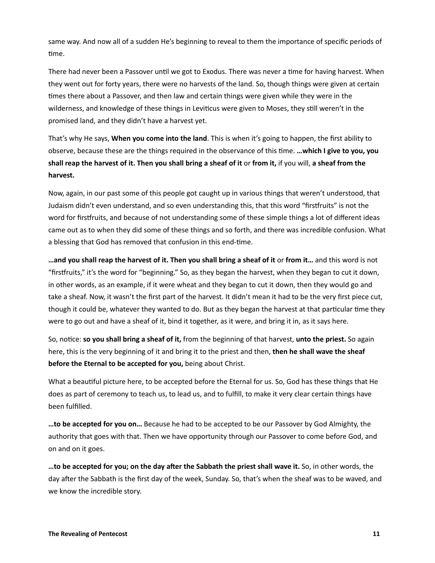same way. And now all of a sudden He's beginning to reveal to them the importance of specific periods of time.

There had never been a Passover until we got to Exodus. There was never a time for having harvest. When they went out for forty years, there were no harvests of the land. So, though things were given at certain times there about a Passover, and then law and certain things were given while they were in the wilderness, and knowledge of these things in Leviticus were given to Moses, they still weren't in the promised land, and they didn't have a harvest yet.

That's why He says, **When you come into the land**. This is when it's going to happen, the first ability to observe, because these are the things required in the observance of this time. **…which I give to you, you shall reap the harvest of it. Then you shall bring a sheaf of it** or **from it,** if you will, **a sheaf from the harvest.**

Now, again, in our past some of this people got caught up in various things that weren't understood, that Judaism didn't even understand, and so even understanding this, that this word "firstfruits" is not the word for firstfruits, and because of not understanding some of these simple things a lot of different ideas came out as to when they did some of these things and so forth, and there was incredible confusion. What a blessing that God has removed that confusion in this end-time.

**…and you shall reap the harvest of it. Then you shall bring a sheaf of it** or **from it…** and this word is not "firstfruits," it's the word for "beginning." So, as they began the harvest, when they began to cut it down, in other words, as an example, if it were wheat and they began to cut it down, then they would go and take a sheaf. Now, it wasn't the first part of the harvest. It didn't mean it had to be the very first piece cut, though it could be, whatever they wanted to do. But as they began the harvest at that particular time they were to go out and have a sheaf of it, bind it together, as it were, and bring it in, as it says here.

So, notice: **so you shall bring a sheaf of it,** from the beginning of that harvest, **unto the priest.** So again here, this is the very beginning of it and bring it to the priest and then, **then he shall wave the sheaf before the Eternal to be accepted for you,** being about Christ.

What a beautiful picture here, to be accepted before the Eternal for us. So, God has these things that He does as part of ceremony to teach us, to lead us, and to fulfill, to make it very clear certain things have been fulfilled.

**…to be accepted for you on…** Because he had to be accepted to be our Passover by God Almighty, the authority that goes with that. Then we have opportunity through our Passover to come before God, and on and on it goes.

**…to be accepted for you; on the day after the Sabbath the priest shall wave it.** So, in other words, the day after the Sabbath is the first day of the week, Sunday. So, that's when the sheaf was to be waved, and we know the incredible story.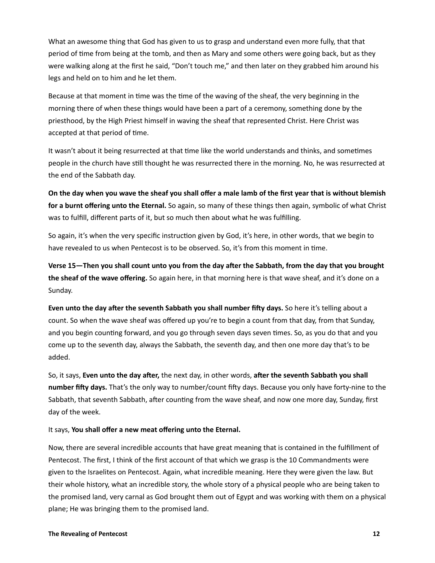What an awesome thing that God has given to us to grasp and understand even more fully, that that period of time from being at the tomb, and then as Mary and some others were going back, but as they were walking along at the first he said, "Don't touch me," and then later on they grabbed him around his legs and held on to him and he let them.

Because at that moment in time was the time of the waving of the sheaf, the very beginning in the morning there of when these things would have been a part of a ceremony, something done by the priesthood, by the High Priest himself in waving the sheaf that represented Christ. Here Christ was accepted at that period of time.

It wasn't about it being resurrected at that time like the world understands and thinks, and sometimes people in the church have still thought he was resurrected there in the morning. No, he was resurrected at the end of the Sabbath day.

**On the day when you wave the sheaf you shall offer a male lamb of the first year that is without blemish for a burnt offering unto the Eternal.** So again, so many of these things then again, symbolic of what Christ was to fulfill, different parts of it, but so much then about what he was fulfilling.

So again, it's when the very specific instruction given by God, it's here, in other words, that we begin to have revealed to us when Pentecost is to be observed. So, it's from this moment in time.

**Verse 15—Then you shall count unto you from the day after the Sabbath, from the day that you brought the sheaf of the wave offering.** So again here, in that morning here is that wave sheaf, and it's done on a Sunday.

**Even unto the day after the seventh Sabbath you shall number fifty days.** So here it's telling about a count. So when the wave sheaf was offered up you're to begin a count from that day, from that Sunday, and you begin counting forward, and you go through seven days seven times. So, as you do that and you come up to the seventh day, always the Sabbath, the seventh day, and then one more day that's to be added.

So, it says, **Even unto the day after,** the next day, in other words, **after the seventh Sabbath you shall number fifty days.** That's the only way to number/count fifty days. Because you only have forty-nine to the Sabbath, that seventh Sabbath, after counting from the wave sheaf, and now one more day, Sunday, first day of the week.

## It says, **You shall offer a new meat offering unto the Eternal.**

Now, there are several incredible accounts that have great meaning that is contained in the fulfillment of Pentecost. The first, I think of the first account of that which we grasp is the 10 Commandments were given to the Israelites on Pentecost. Again, what incredible meaning. Here they were given the law. But their whole history, what an incredible story, the whole story of a physical people who are being taken to the promised land, very carnal as God brought them out of Egypt and was working with them on a physical plane; He was bringing them to the promised land.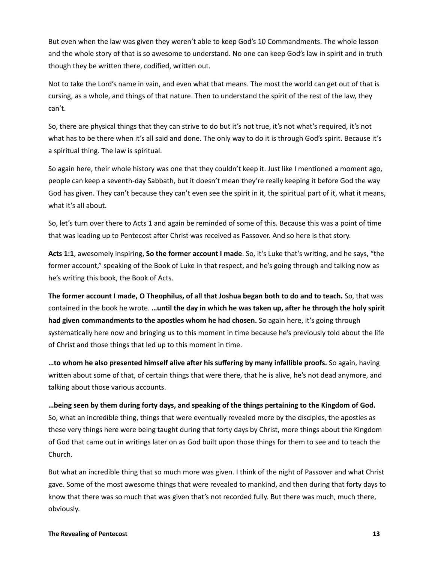But even when the law was given they weren't able to keep God's 10 Commandments. The whole lesson and the whole story of that is so awesome to understand. No one can keep God's law in spirit and in truth though they be written there, codified, written out.

Not to take the Lord's name in vain, and even what that means. The most the world can get out of that is cursing, as a whole, and things of that nature. Then to understand the spirit of the rest of the law, they can't.

So, there are physical things that they can strive to do but it's not true, it's not what's required, it's not what has to be there when it's all said and done. The only way to do it is through God's spirit. Because it's a spiritual thing. The law is spiritual.

So again here, their whole history was one that they couldn't keep it. Just like I mentioned a moment ago, people can keep a seventh-day Sabbath, but it doesn't mean they're really keeping it before God the way God has given. They can't because they can't even see the spirit in it, the spiritual part of it, what it means, what it's all about.

So, let's turn over there to Acts 1 and again be reminded of some of this. Because this was a point of time that was leading up to Pentecost after Christ was received as Passover. And so here is that story.

**Acts 1:1**, awesomely inspiring, **So the former account I made**. So, it's Luke that's writing, and he says, "the former account," speaking of the Book of Luke in that respect, and he's going through and talking now as he's writing this book, the Book of Acts.

**The former account I made, O Theophilus, of all that Joshua began both to do and to teach.** So, that was contained in the book he wrote. **…until the day in which he was taken up, after he through the holy spirit had given commandments to the apostles whom he had chosen.** So again here, it's going through systematically here now and bringing us to this moment in time because he's previously told about the life of Christ and those things that led up to this moment in time.

**…to whom he also presented himself alive after his suffering by many infallible proofs.** So again, having written about some of that, of certain things that were there, that he is alive, he's not dead anymore, and talking about those various accounts.

**…being seen by them during forty days, and speaking of the things pertaining to the Kingdom of God.** So, what an incredible thing, things that were eventually revealed more by the disciples, the apostles as these very things here were being taught during that forty days by Christ, more things about the Kingdom of God that came out in writings later on as God built upon those things for them to see and to teach the Church.

But what an incredible thing that so much more was given. I think of the night of Passover and what Christ gave. Some of the most awesome things that were revealed to mankind, and then during that forty days to know that there was so much that was given that's not recorded fully. But there was much, much there, obviously.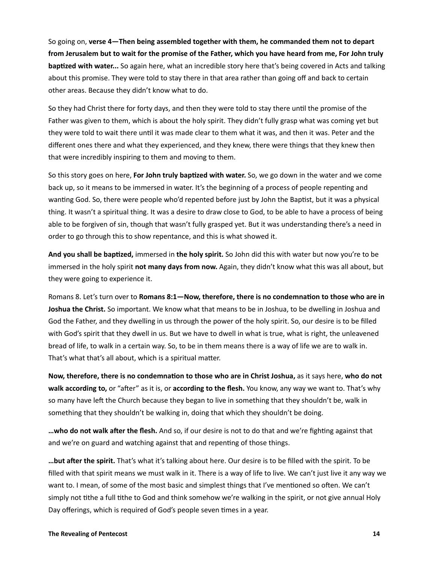So going on, **verse 4—Then being assembled together with them, he commanded them not to depart from Jerusalem but to wait for the promise of the Father, which you have heard from me, For John truly baptized with water...** So again here, what an incredible story here that's being covered in Acts and talking about this promise. They were told to stay there in that area rather than going off and back to certain other areas. Because they didn't know what to do.

So they had Christ there for forty days, and then they were told to stay there until the promise of the Father was given to them, which is about the holy spirit. They didn't fully grasp what was coming yet but they were told to wait there until it was made clear to them what it was, and then it was. Peter and the different ones there and what they experienced, and they knew, there were things that they knew then that were incredibly inspiring to them and moving to them.

So this story goes on here, **For John truly baptized with water.** So, we go down in the water and we come back up, so it means to be immersed in water. It's the beginning of a process of people repenting and wanting God. So, there were people who'd repented before just by John the Baptist, but it was a physical thing. It wasn't a spiritual thing. It was a desire to draw close to God, to be able to have a process of being able to be forgiven of sin, though that wasn't fully grasped yet. But it was understanding there's a need in order to go through this to show repentance, and this is what showed it.

**And you shall be baptized,** immersed in **the holy spirit.** So John did this with water but now you're to be immersed in the holy spirit **not many days from now.** Again, they didn't know what this was all about, but they were going to experience it.

Romans 8. Let's turn over to **Romans 8:1—Now, therefore, there is no condemnation to those who are in Joshua the Christ.** So important. We know what that means to be in Joshua, to be dwelling in Joshua and God the Father, and they dwelling in us through the power of the holy spirit. So, our desire is to be filled with God's spirit that they dwell in us. But we have to dwell in what is true, what is right, the unleavened bread of life, to walk in a certain way. So, to be in them means there is a way of life we are to walk in. That's what that's all about, which is a spiritual matter.

**Now, therefore, there is no condemnation to those who are in Christ Joshua,** as it says here, **who do not walk according to,** or "after" as it is, or **according to the flesh.** You know, any way we want to. That's why so many have left the Church because they began to live in something that they shouldn't be, walk in something that they shouldn't be walking in, doing that which they shouldn't be doing.

**…who do not walk after the flesh.** And so, if our desire is not to do that and we're fighting against that and we're on guard and watching against that and repenting of those things.

**…but after the spirit.** That's what it's talking about here. Our desire is to be filled with the spirit. To be filled with that spirit means we must walk in it. There is a way of life to live. We can't just live it any way we want to. I mean, of some of the most basic and simplest things that I've mentioned so often. We can't simply not tithe a full tithe to God and think somehow we're walking in the spirit, or not give annual Holy Day offerings, which is required of God's people seven times in a year.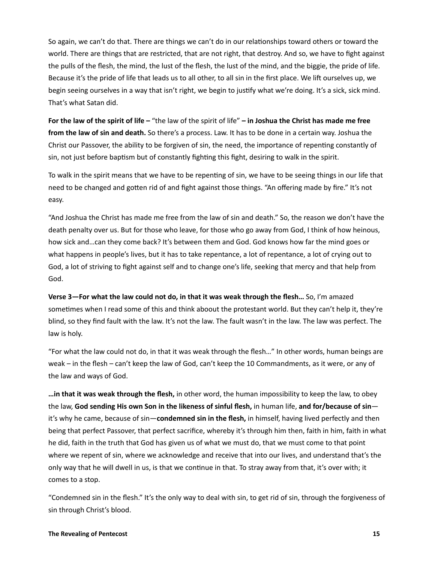So again, we can't do that. There are things we can't do in our relationships toward others or toward the world. There are things that are restricted, that are not right, that destroy. And so, we have to fight against the pulls of the flesh, the mind, the lust of the flesh, the lust of the mind, and the biggie, the pride of life. Because it's the pride of life that leads us to all other, to all sin in the first place. We lift ourselves up, we begin seeing ourselves in a way that isn't right, we begin to justify what we're doing. It's a sick, sick mind. That's what Satan did.

**For the law of the spirit of life –** "the law of the spirit of life" **– in Joshua the Christ has made me free from the law of sin and death.** So there's a process. Law. It has to be done in a certain way. Joshua the Christ our Passover, the ability to be forgiven of sin, the need, the importance of repenting constantly of sin, not just before baptism but of constantly fighting this fight, desiring to walk in the spirit.

To walk in the spirit means that we have to be repenting of sin, we have to be seeing things in our life that need to be changed and gotten rid of and fight against those things. "An offering made by fire." It's not easy.

"And Joshua the Christ has made me free from the law of sin and death." So, the reason we don't have the death penalty over us. But for those who leave, for those who go away from God, I think of how heinous, how sick and...can they come back? It's between them and God. God knows how far the mind goes or what happens in people's lives, but it has to take repentance, a lot of repentance, a lot of crying out to God, a lot of striving to fight against self and to change one's life, seeking that mercy and that help from God.

**Verse 3—For what the law could not do, in that it was weak through the flesh…** So, I'm amazed sometimes when I read some of this and think aboout the protestant world. But they can't help it, they're blind, so they find fault with the law. It's not the law. The fault wasn't in the law. The law was perfect. The law is holy.

"For what the law could not do, in that it was weak through the flesh…" In other words, human beings are weak – in the flesh – can't keep the law of God, can't keep the 10 Commandments, as it were, or any of the law and ways of God.

**…in that it was weak through the flesh,** in other word, the human impossibility to keep the law, to obey the law, **God sending His own Son in the likeness of sinful flesh,** in human life, **and for/because of sin** it's why he came, because of sin—**condemned sin in the flesh,** in himself, having lived perfectly and then being that perfect Passover, that perfect sacrifice, whereby it's through him then, faith in him, faith in what he did, faith in the truth that God has given us of what we must do, that we must come to that point where we repent of sin, where we acknowledge and receive that into our lives, and understand that's the only way that he will dwell in us, is that we continue in that. To stray away from that, it's over with; it comes to a stop.

"Condemned sin in the flesh." It's the only way to deal with sin, to get rid of sin, through the forgiveness of sin through Christ's blood.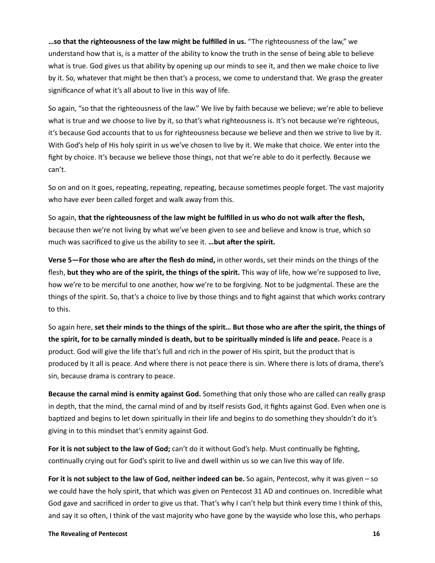**…so that the righteousness of the law might be fulfilled in us.** "The righteousness of the law," we understand how that is, is a matter of the ability to know the truth in the sense of being able to believe what is true. God gives us that ability by opening up our minds to see it, and then we make choice to live by it. So, whatever that might be then that's a process, we come to understand that. We grasp the greater significance of what it's all about to live in this way of life.

So again, "so that the righteousness of the law." We live by faith because we believe; we're able to believe what is true and we choose to live by it, so that's what righteousness is. It's not because we're righteous, it's because God accounts that to us for righteousness because we believe and then we strive to live by it. With God's help of His holy spirit in us we've chosen to live by it. We make that choice. We enter into the fight by choice. It's because we believe those things, not that we're able to do it perfectly. Because we can't.

So on and on it goes, repeating, repeating, repeating, because sometimes people forget. The vast majority who have ever been called forget and walk away from this.

So again, **that the righteousness of the law might be fulfilled in us who do not walk after the flesh,** because then we're not living by what we've been given to see and believe and know is true, which so much was sacrificed to give us the ability to see it. **…but after the spirit.**

**Verse 5—For those who are after the flesh do mind,** in other words, set their minds on the things of the flesh, **but they who are of the spirit, the things of the spirit.** This way of life, how we're supposed to live, how we're to be merciful to one another, how we're to be forgiving. Not to be judgmental. These are the things of the spirit. So, that's a choice to live by those things and to fight against that which works contrary to this.

So again here, **set their minds to the things of the spirit… But those who are after the spirit, the things of the spirit, for to be carnally minded is death, but to be spiritually minded is life and peace.** Peace is a product. God will give the life that's full and rich in the power of His spirit, but the product that is produced by it all is peace. And where there is not peace there is sin. Where there is lots of drama, there's sin, because drama is contrary to peace.

**Because the carnal mind is enmity against God.** Something that only those who are called can really grasp in depth, that the mind, the carnal mind of and by itself resists God, it fights against God. Even when one is baptized and begins to let down spiritually in their life and begins to do something they shouldn't do it's giving in to this mindset that's enmity against God.

**For it is not subject to the law of God;** can't do it without God's help. Must continually be fighting, continually crying out for God's spirit to live and dwell within us so we can live this way of life.

**For it is not subject to the law of God, neither indeed can be.** So again, Pentecost, why it was given – so we could have the holy spirit, that which was given on Pentecost 31 AD and continues on. Incredible what God gave and sacrificed in order to give us that. That's why I can't help but think every time I think of this, and say it so often, I think of the vast majority who have gone by the wayside who lose this, who perhaps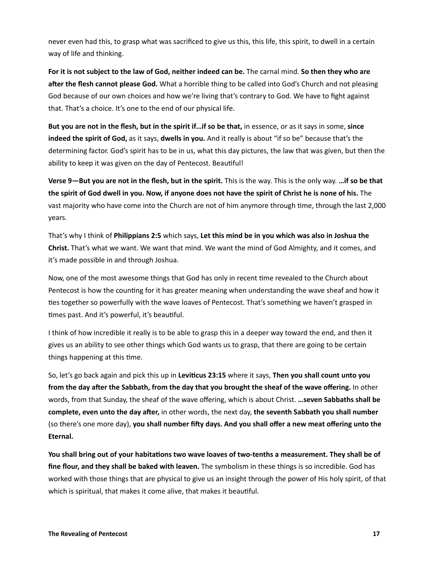never even had this, to grasp what was sacrificed to give us this, this life, this spirit, to dwell in a certain way of life and thinking.

**For it is not subject to the law of God, neither indeed can be.** The carnal mind. **So then they who are after the flesh cannot please God.** What a horrible thing to be called into God's Church and not pleasing God because of our own choices and how we're living that's contrary to God. We have to fight against that. That's a choice. It's one to the end of our physical life.

**But you are not in the flesh, but in the spirit if…if so be that,** in essence, or as it says in some, **since indeed the spirit of God,** as it says, **dwells in you.** And it really is about "if so be" because that's the determining factor. God's spirit has to be in us, what this day pictures, the law that was given, but then the ability to keep it was given on the day of Pentecost. Beautiful!

**Verse 9—But you are not in the flesh, but in the spirit.** This is the way. This is the only way. **…if so be that the spirit of God dwell in you. Now, if anyone does not have the spirit of Christ he is none of his.** The vast majority who have come into the Church are not of him anymore through time, through the last 2,000 years.

That's why I think of **Philippians 2:5** which says, **Let this mind be in you which was also in Joshua the Christ.** That's what we want. We want that mind. We want the mind of God Almighty, and it comes, and it's made possible in and through Joshua.

Now, one of the most awesome things that God has only in recent time revealed to the Church about Pentecost is how the counting for it has greater meaning when understanding the wave sheaf and how it ties together so powerfully with the wave loaves of Pentecost. That's something we haven't grasped in times past. And it's powerful, it's beautiful.

I think of how incredible it really is to be able to grasp this in a deeper way toward the end, and then it gives us an ability to see other things which God wants us to grasp, that there are going to be certain things happening at this time.

So, let's go back again and pick this up in **Leviticus 23:15** where it says, **Then you shall count unto you from the day after the Sabbath, from the day that you brought the sheaf of the wave offering.** In other words, from that Sunday, the sheaf of the wave offering, which is about Christ. **…seven Sabbaths shall be complete, even unto the day after,** in other words, the next day, **the seventh Sabbath you shall number**  (so there's one more day), **you shall number fifty days. And you shall offer a new meat offering unto the Eternal.**

**You shall bring out of your habitations two wave loaves of two-tenths a measurement. They shall be of fine flour, and they shall be baked with leaven.** The symbolism in these things is so incredible. God has worked with those things that are physical to give us an insight through the power of His holy spirit, of that which is spiritual, that makes it come alive, that makes it beautiful.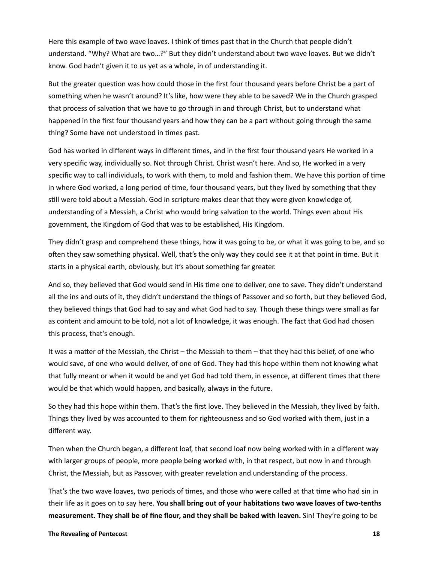Here this example of two wave loaves. I think of times past that in the Church that people didn't understand. "Why? What are two…?" But they didn't understand about two wave loaves. But we didn't know. God hadn't given it to us yet as a whole, in of understanding it.

But the greater question was how could those in the first four thousand years before Christ be a part of something when he wasn't around? It's like, how were they able to be saved? We in the Church grasped that process of salvation that we have to go through in and through Christ, but to understand what happened in the first four thousand years and how they can be a part without going through the same thing? Some have not understood in times past.

God has worked in different ways in different times, and in the first four thousand years He worked in a very specific way, individually so. Not through Christ. Christ wasn't here. And so, He worked in a very specific way to call individuals, to work with them, to mold and fashion them. We have this portion of time in where God worked, a long period of time, four thousand years, but they lived by something that they still were told about a Messiah. God in scripture makes clear that they were given knowledge of, understanding of a Messiah, a Christ who would bring salvation to the world. Things even about His government, the Kingdom of God that was to be established, His Kingdom.

They didn't grasp and comprehend these things, how it was going to be, or what it was going to be, and so often they saw something physical. Well, that's the only way they could see it at that point in time. But it starts in a physical earth, obviously, but it's about something far greater.

And so, they believed that God would send in His time one to deliver, one to save. They didn't understand all the ins and outs of it, they didn't understand the things of Passover and so forth, but they believed God, they believed things that God had to say and what God had to say. Though these things were small as far as content and amount to be told, not a lot of knowledge, it was enough. The fact that God had chosen this process, that's enough.

It was a matter of the Messiah, the Christ – the Messiah to them – that they had this belief, of one who would save, of one who would deliver, of one of God. They had this hope within them not knowing what that fully meant or when it would be and yet God had told them, in essence, at different times that there would be that which would happen, and basically, always in the future.

So they had this hope within them. That's the first love. They believed in the Messiah, they lived by faith. Things they lived by was accounted to them for righteousness and so God worked with them, just in a different way.

Then when the Church began, a different loaf, that second loaf now being worked with in a different way with larger groups of people, more people being worked with, in that respect, but now in and through Christ, the Messiah, but as Passover, with greater revelation and understanding of the process.

That's the two wave loaves, two periods of times, and those who were called at that time who had sin in their life as it goes on to say here. **You shall bring out of your habitations two wave loaves of two-tenths measurement. They shall be of fine flour, and they shall be baked with leaven.** Sin! They're going to be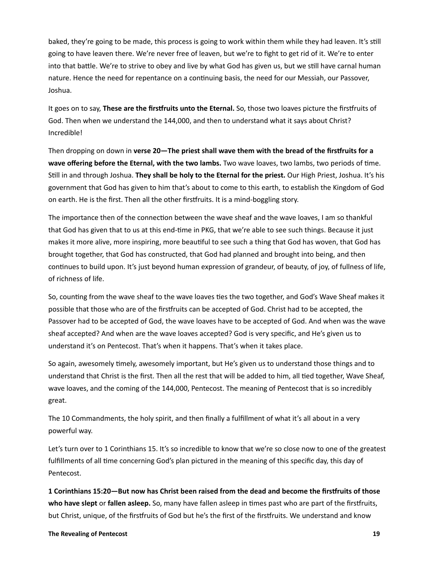baked, they're going to be made, this process is going to work within them while they had leaven. It's still going to have leaven there. We're never free of leaven, but we're to fight to get rid of it. We're to enter into that battle. We're to strive to obey and live by what God has given us, but we still have carnal human nature. Hence the need for repentance on a continuing basis, the need for our Messiah, our Passover, Joshua.

It goes on to say, **These are the firstfruits unto the Eternal.** So, those two loaves picture the firstfruits of God. Then when we understand the 144,000, and then to understand what it says about Christ? Incredible!

Then dropping on down in **verse 20—The priest shall wave them with the bread of the firstfruits for a wave offering before the Eternal, with the two lambs.** Two wave loaves, two lambs, two periods of time. Still in and through Joshua. **They shall be holy to the Eternal for the priest.** Our High Priest, Joshua. It's his government that God has given to him that's about to come to this earth, to establish the Kingdom of God on earth. He is the first. Then all the other firstfruits. It is a mind-boggling story.

The importance then of the connection between the wave sheaf and the wave loaves, I am so thankful that God has given that to us at this end-time in PKG, that we're able to see such things. Because it just makes it more alive, more inspiring, more beautiful to see such a thing that God has woven, that God has brought together, that God has constructed, that God had planned and brought into being, and then continues to build upon. It's just beyond human expression of grandeur, of beauty, of joy, of fullness of life, of richness of life.

So, counting from the wave sheaf to the wave loaves ties the two together, and God's Wave Sheaf makes it possible that those who are of the firstfruits can be accepted of God. Christ had to be accepted, the Passover had to be accepted of God, the wave loaves have to be accepted of God. And when was the wave sheaf accepted? And when are the wave loaves accepted? God is very specific, and He's given us to understand it's on Pentecost. That's when it happens. That's when it takes place.

So again, awesomely timely, awesomely important, but He's given us to understand those things and to understand that Christ is the first. Then all the rest that will be added to him, all tied together, Wave Sheaf, wave loaves, and the coming of the 144,000, Pentecost. The meaning of Pentecost that is so incredibly great.

The 10 Commandments, the holy spirit, and then finally a fulfillment of what it's all about in a very powerful way.

Let's turn over to 1 Corinthians 15. It's so incredible to know that we're so close now to one of the greatest fulfillments of all time concerning God's plan pictured in the meaning of this specific day, this day of Pentecost.

**1 Corinthians 15:20—But now has Christ been raised from the dead and become the firstfruits of those who have slept** or **fallen asleep.** So, many have fallen asleep in times past who are part of the firstfruits, but Christ, unique, of the firstfruits of God but he's the first of the firstfruits. We understand and know

#### **The Revealing of Pentecost 19**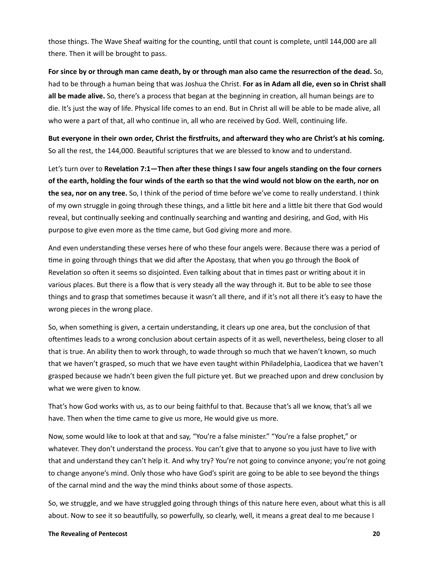those things. The Wave Sheaf waiting for the counting, until that count is complete, until 144,000 are all there. Then it will be brought to pass.

**For since by or through man came death, by or through man also came the resurrection of the dead.** So, had to be through a human being that was Joshua the Christ. **For as in Adam all die, even so in Christ shall all be made alive.** So, there's a process that began at the beginning in creation, all human beings are to die. It's just the way of life. Physical life comes to an end. But in Christ all will be able to be made alive, all who were a part of that, all who continue in, all who are received by God. Well, continuing life.

**But everyone in their own order, Christ the firstfruits, and afterward they who are Christ's at his coming.** So all the rest, the 144,000. Beautiful scriptures that we are blessed to know and to understand.

Let's turn over to **Revelation 7:1—Then after these things I saw four angels standing on the four corners of the earth, holding the four winds of the earth so that the wind would not blow on the earth, nor on the sea, nor on any tree.** So, I think of the period of time before we've come to really understand. I think of my own struggle in going through these things, and a little bit here and a little bit there that God would reveal, but continually seeking and continually searching and wanting and desiring, and God, with His purpose to give even more as the time came, but God giving more and more.

And even understanding these verses here of who these four angels were. Because there was a period of time in going through things that we did after the Apostasy, that when you go through the Book of Revelation so often it seems so disjointed. Even talking about that in times past or writing about it in various places. But there is a flow that is very steady all the way through it. But to be able to see those things and to grasp that sometimes because it wasn't all there, and if it's not all there it's easy to have the wrong pieces in the wrong place.

So, when something is given, a certain understanding, it clears up one area, but the conclusion of that oftentimes leads to a wrong conclusion about certain aspects of it as well, nevertheless, being closer to all that is true. An ability then to work through, to wade through so much that we haven't known, so much that we haven't grasped, so much that we have even taught within Philadelphia, Laodicea that we haven't grasped because we hadn't been given the full picture yet. But we preached upon and drew conclusion by what we were given to know.

That's how God works with us, as to our being faithful to that. Because that's all we know, that's all we have. Then when the time came to give us more, He would give us more.

Now, some would like to look at that and say, "You're a false minister." "You're a false prophet," or whatever. They don't understand the process. You can't give that to anyone so you just have to live with that and understand they can't help it. And why try? You're not going to convince anyone; you're not going to change anyone's mind. Only those who have God's spirit are going to be able to see beyond the things of the carnal mind and the way the mind thinks about some of those aspects.

So, we struggle, and we have struggled going through things of this nature here even, about what this is all about. Now to see it so beautifully, so powerfully, so clearly, well, it means a great deal to me because I

#### **The Revealing of Pentecost 20**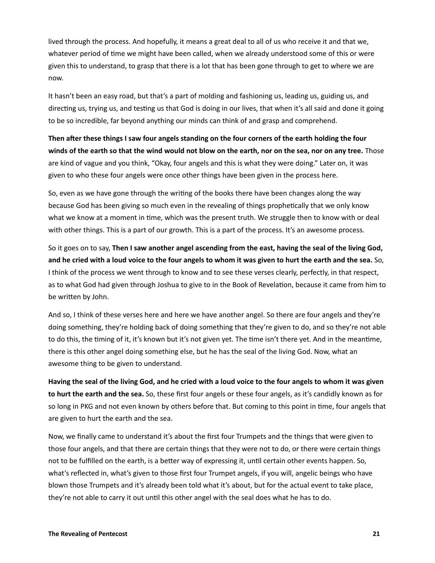lived through the process. And hopefully, it means a great deal to all of us who receive it and that we, whatever period of time we might have been called, when we already understood some of this or were given this to understand, to grasp that there is a lot that has been gone through to get to where we are now.

It hasn't been an easy road, but that's a part of molding and fashioning us, leading us, guiding us, and directing us, trying us, and testing us that God is doing in our lives, that when it's all said and done it going to be so incredible, far beyond anything our minds can think of and grasp and comprehend.

**Then after these things I saw four angels standing on the four corners of the earth holding the four winds of the earth so that the wind would not blow on the earth, nor on the sea, nor on any tree.** Those are kind of vague and you think, "Okay, four angels and this is what they were doing." Later on, it was given to who these four angels were once other things have been given in the process here.

So, even as we have gone through the writing of the books there have been changes along the way because God has been giving so much even in the revealing of things prophetically that we only know what we know at a moment in time, which was the present truth. We struggle then to know with or deal with other things. This is a part of our growth. This is a part of the process. It's an awesome process.

So it goes on to say, **Then I saw another angel ascending from the east, having the seal of the living God, and he cried with a loud voice to the four angels to whom it was given to hurt the earth and the sea.** So, I think of the process we went through to know and to see these verses clearly, perfectly, in that respect, as to what God had given through Joshua to give to in the Book of Revelation, because it came from him to be written by John.

And so, I think of these verses here and here we have another angel. So there are four angels and they're doing something, they're holding back of doing something that they're given to do, and so they're not able to do this, the timing of it, it's known but it's not given yet. The time isn't there yet. And in the meantime, there is this other angel doing something else, but he has the seal of the living God. Now, what an awesome thing to be given to understand.

**Having the seal of the living God, and he cried with a loud voice to the four angels to whom it was given to hurt the earth and the sea.** So, these first four angels or these four angels, as it's candidly known as for so long in PKG and not even known by others before that. But coming to this point in time, four angels that are given to hurt the earth and the sea.

Now, we finally came to understand it's about the first four Trumpets and the things that were given to those four angels, and that there are certain things that they were not to do, or there were certain things not to be fulfilled on the earth, is a better way of expressing it, until certain other events happen. So, what's reflected in, what's given to those first four Trumpet angels, if you will, angelic beings who have blown those Trumpets and it's already been told what it's about, but for the actual event to take place, they're not able to carry it out until this other angel with the seal does what he has to do.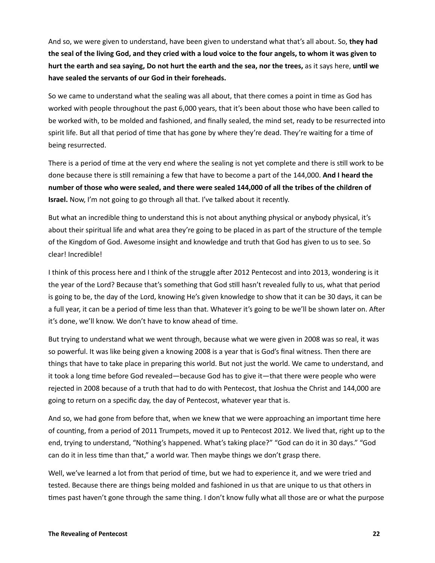And so, we were given to understand, have been given to understand what that's all about. So, **they had the seal of the living God, and they cried with a loud voice to the four angels, to whom it was given to hurt the earth and sea saying, Do not hurt the earth and the sea, nor the trees,** as it says here, **until we have sealed the servants of our God in their foreheads.**

So we came to understand what the sealing was all about, that there comes a point in time as God has worked with people throughout the past 6,000 years, that it's been about those who have been called to be worked with, to be molded and fashioned, and finally sealed, the mind set, ready to be resurrected into spirit life. But all that period of time that has gone by where they're dead. They're waiting for a time of being resurrected.

There is a period of time at the very end where the sealing is not yet complete and there is still work to be done because there is still remaining a few that have to become a part of the 144,000. **And I heard the number of those who were sealed, and there were sealed 144,000 of all the tribes of the children of Israel.** Now, I'm not going to go through all that. I've talked about it recently.

But what an incredible thing to understand this is not about anything physical or anybody physical, it's about their spiritual life and what area they're going to be placed in as part of the structure of the temple of the Kingdom of God. Awesome insight and knowledge and truth that God has given to us to see. So clear! Incredible!

I think of this process here and I think of the struggle after 2012 Pentecost and into 2013, wondering is it the year of the Lord? Because that's something that God still hasn't revealed fully to us, what that period is going to be, the day of the Lord, knowing He's given knowledge to show that it can be 30 days, it can be a full year, it can be a period of time less than that. Whatever it's going to be we'll be shown later on. After it's done, we'll know. We don't have to know ahead of time.

But trying to understand what we went through, because what we were given in 2008 was so real, it was so powerful. It was like being given a knowing 2008 is a year that is God's final witness. Then there are things that have to take place in preparing this world. But not just the world. We came to understand, and it took a long time before God revealed—because God has to give it—that there were people who were rejected in 2008 because of a truth that had to do with Pentecost, that Joshua the Christ and 144,000 are going to return on a specific day, the day of Pentecost, whatever year that is.

And so, we had gone from before that, when we knew that we were approaching an important time here of counting, from a period of 2011 Trumpets, moved it up to Pentecost 2012. We lived that, right up to the end, trying to understand, "Nothing's happened. What's taking place?" "God can do it in 30 days." "God can do it in less time than that," a world war. Then maybe things we don't grasp there.

Well, we've learned a lot from that period of time, but we had to experience it, and we were tried and tested. Because there are things being molded and fashioned in us that are unique to us that others in times past haven't gone through the same thing. I don't know fully what all those are or what the purpose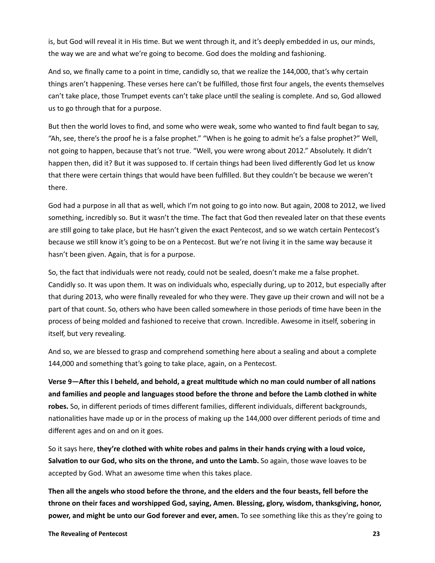is, but God will reveal it in His time. But we went through it, and it's deeply embedded in us, our minds, the way we are and what we're going to become. God does the molding and fashioning.

And so, we finally came to a point in time, candidly so, that we realize the 144,000, that's why certain things aren't happening. These verses here can't be fulfilled, those first four angels, the events themselves can't take place, those Trumpet events can't take place until the sealing is complete. And so, God allowed us to go through that for a purpose.

But then the world loves to find, and some who were weak, some who wanted to find fault began to say, "Ah, see, there's the proof he is a false prophet." "When is he going to admit he's a false prophet?" Well, not going to happen, because that's not true. "Well, you were wrong about 2012." Absolutely. It didn't happen then, did it? But it was supposed to. If certain things had been lived differently God let us know that there were certain things that would have been fulfilled. But they couldn't be because we weren't there.

God had a purpose in all that as well, which I'm not going to go into now. But again, 2008 to 2012, we lived something, incredibly so. But it wasn't the time. The fact that God then revealed later on that these events are still going to take place, but He hasn't given the exact Pentecost, and so we watch certain Pentecost's because we still know it's going to be on a Pentecost. But we're not living it in the same way because it hasn't been given. Again, that is for a purpose.

So, the fact that individuals were not ready, could not be sealed, doesn't make me a false prophet. Candidly so. It was upon them. It was on individuals who, especially during, up to 2012, but especially after that during 2013, who were finally revealed for who they were. They gave up their crown and will not be a part of that count. So, others who have been called somewhere in those periods of time have been in the process of being molded and fashioned to receive that crown. Incredible. Awesome in itself, sobering in itself, but very revealing.

And so, we are blessed to grasp and comprehend something here about a sealing and about a complete 144,000 and something that's going to take place, again, on a Pentecost.

**Verse 9—After this I beheld, and behold, a great multitude which no man could number of all nations and families and people and languages stood before the throne and before the Lamb clothed in white robes.** So, in different periods of times different families, different individuals, different backgrounds, nationalities have made up or in the process of making up the 144,000 over different periods of time and different ages and on and on it goes.

So it says here, **they're clothed with white robes and palms in their hands crying with a loud voice, Salvation to our God, who sits on the throne, and unto the Lamb.** So again, those wave loaves to be accepted by God. What an awesome time when this takes place.

**Then all the angels who stood before the throne, and the elders and the four beasts, fell before the throne on their faces and worshipped God, saying, Amen. Blessing, glory, wisdom, thanksgiving, honor, power, and might be unto our God forever and ever, amen.** To see something like this as they're going to